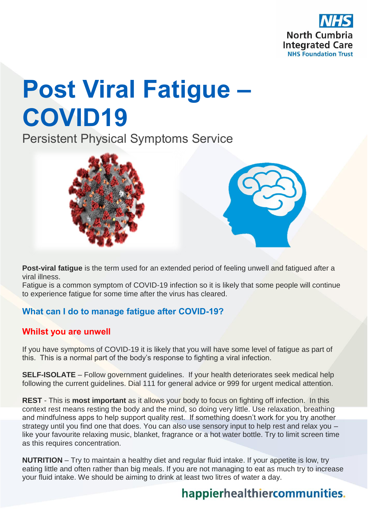

# **Post Viral Fatigue – COVID19**

Persistent Physical Symptoms Service



**Post-viral fatigue** is the term used for an extended period of feeling unwell and fatigued after a viral illness.

Fatigue is a common symptom of COVID-19 infection so it is likely that some people will continue to experience fatigue for some time after the virus has cleared.

### **What can I do to manage fatigue after COVID-19?**

#### **Whilst you are unwell**

If you have symptoms of COVID-19 it is likely that you will have some level of fatigue as part of this. This is a normal part of the body's response to fighting a viral infection.

**SELF-ISOLATE** – Follow government guidelines. If your health deteriorates seek medical help following the current guidelines. Dial 111 for general advice or 999 for urgent medical attention.

**REST** - This is **most important** as it allows your body to focus on fighting off infection. In this context rest means resting the body and the mind, so doing very little. Use relaxation, breathing and mindfulness apps to help support quality rest. If something doesn't work for you try another strategy until you find one that does. You can also use sensory input to help rest and relax you – like your favourite relaxing music, blanket, fragrance or a hot water bottle. Try to limit screen time as this requires concentration.

**NUTRITION** – Try to maintain a healthy diet and regular fluid intake. If your appetite is low, try eating little and often rather than big meals. If you are not managing to eat as much try to increase your fluid intake. We should be aiming to drink at least two litres of water a day.

## happierhealthiercommunities.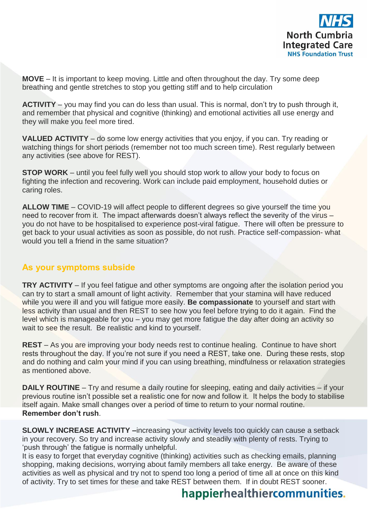

**MOVE** – It is important to keep moving. Little and often throughout the day. Try some deep breathing and gentle stretches to stop you getting stiff and to help circulation

**ACTIVITY** – you may find you can do less than usual. This is normal, don't try to push through it, and remember that physical and cognitive (thinking) and emotional activities all use energy and they will make you feel more tired.

**VALUED ACTIVITY** – do some low energy activities that you enjoy, if you can. Try reading or watching things for short periods (remember not too much screen time). Rest regularly between any activities (see above for REST).

**STOP WORK** – until you feel fully well you should stop work to allow your body to focus on fighting the infection and recovering. Work can include paid employment, household duties or caring roles.

**ALLOW TIME** – COVID-19 will affect people to different degrees so give yourself the time you need to recover from it. The impact afterwards doesn't always reflect the severity of the virus – you do not have to be hospitalised to experience post-viral fatigue. There will often be pressure to get back to your usual activities as soon as possible, do not rush. Practice self-compassion- what would you tell a friend in the same situation?

#### **As your symptoms subside**

**TRY ACTIVITY** – If you feel fatigue and other symptoms are ongoing after the isolation period you can try to start a small amount of light activity. Remember that your stamina will have reduced while you were ill and you will fatigue more easily. **Be compassionate** to yourself and start with less activity than usual and then REST to see how you feel before trying to do it again. Find the level which is manageable for you – you may get more fatigue the day after doing an activity so wait to see the result. Be realistic and kind to yourself.

**REST** – As you are improving your body needs rest to continue healing. Continue to have short rests throughout the day. If you're not sure if you need a REST, take one. During these rests, stop and do nothing and calm your mind if you can using breathing, mindfulness or relaxation strategies as mentioned above.

**DAILY ROUTINE** – Try and resume a daily routine for sleeping, eating and daily activities – if your previous routine isn't possible set a realistic one for now and follow it. It helps the body to stabilise itself again. Make small changes over a period of time to return to your normal routine. **Remember don't rush**.

**SLOWLY INCREASE ACTIVITY –**increasing your activity levels too quickly can cause a setback in your recovery. So try and increase activity slowly and steadily with plenty of rests. Trying to 'push through' the fatigue is normally unhelpful.

It is easy to forget that everyday cognitive (thinking) activities such as checking emails, planning shopping, making decisions, worrying about family members all take energy. Be aware of these activities as well as physical and try not to spend too long a period of time all at once on this kind of activity. Try to set times for these and take REST between them. If in doubt REST sooner.

## happierhealthiercommunities.